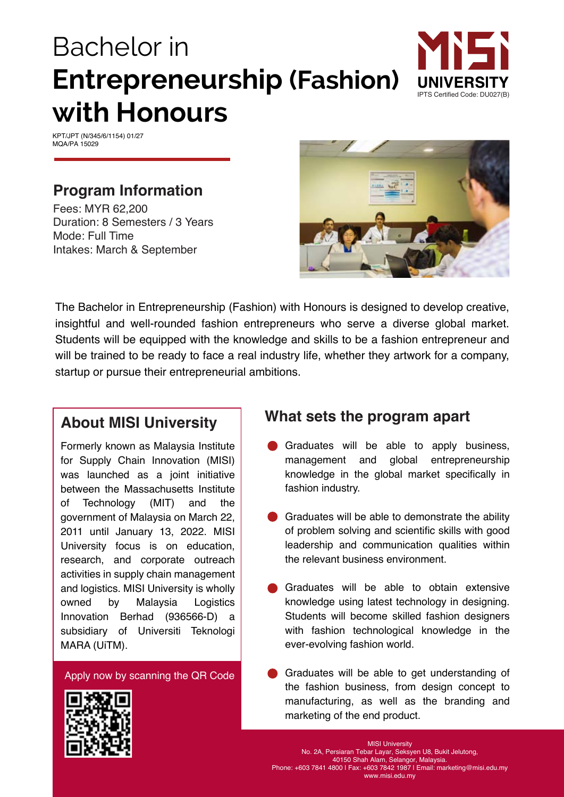# Bachelor in **Entrepreneurship (Fashion) with Honours**



KPT/JPT (N/345/6/1154) 01/27 MOA/PA 15029

### **Program Information**

Fees: MYR 62,200 Duration: 8 Semesters / 3 Years Mode: Full Time Intakes: March & September



The Bachelor in Entrepreneurship (Fashion) with Honours is designed to develop creative, insightful and well-rounded fashion entrepreneurs who serve a diverse global market. Students will be equipped with the knowledge and skills to be a fashion entrepreneur and will be trained to be ready to face a real industry life, whether they artwork for a company, startup or pursue their entrepreneurial ambitions.

### **About MISI University**

owned by Malaysia Innovation Berhad (936566-D) a Formerly known as Malaysia Institute for Supply Chain Innovation (MISI) was launched as a joint initiative between the Massachusetts Institute of Technology (MIT) and the government of Malaysia on March 22, 2011 until January 13, 2022. MISI University focus is on education, research, and corporate outreach activities in supply chain management and logistics. MISI University is wholly Logistics subsidiary of Universiti Teknologi MARA (UiTM).

Apply now by scanning the QR Code

## **What sets the program apart**

- Graduates will be able to apply business, management and global entrepreneurship knowledge in the global market specifically in fashion industry.
- Graduates will be able to demonstrate the ability of problem solving and scientific skills with good leadership and communication qualities within the relevant business environment.
- Graduates will be able to obtain extensive knowledge using latest technology in designing. Students will become skilled fashion designers with fashion technological knowledge in the ever-evolving fashion world.
- Graduates will be able to get understanding of the fashion business, from design concept to manufacturing, as well as the branding and marketing of the end product.